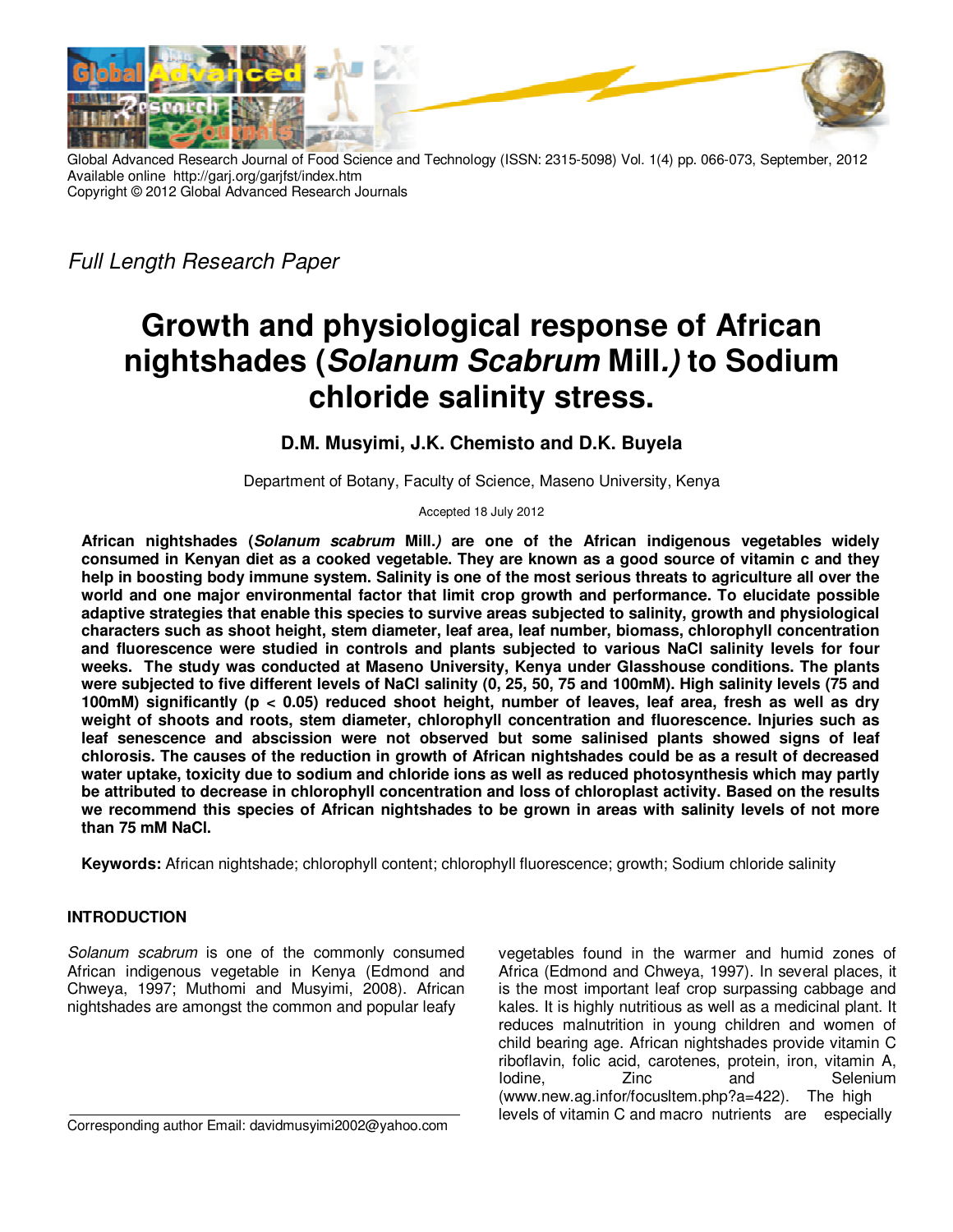

Global Advanced Research Journal of Food Science and Technology (ISSN: 2315-5098) Vol. 1(4) pp. 066-073, September, 2012 Available online http://garj.org/garjfst/index.htm Copyright © 2012 Global Advanced Research Journals

Full Length Research Paper

# **Growth and physiological response of African nightshades (Solanum Scabrum Mill.) to Sodium chloride salinity stress.**

# **D.M. Musyimi, J.K. Chemisto and D.K. Buyela**

Department of Botany, Faculty of Science, Maseno University, Kenya

Accepted 18 July 2012

**African nightshades (Solanum scabrum Mill.) are one of the African indigenous vegetables widely consumed in Kenyan diet as a cooked vegetable. They are known as a good source of vitamin c and they help in boosting body immune system. Salinity is one of the most serious threats to agriculture all over the world and one major environmental factor that limit crop growth and performance. To elucidate possible adaptive strategies that enable this species to survive areas subjected to salinity, growth and physiological characters such as shoot height, stem diameter, leaf area, leaf number, biomass, chlorophyll concentration and fluorescence were studied in controls and plants subjected to various NaCl salinity levels for four weeks. The study was conducted at Maseno University, Kenya under Glasshouse conditions. The plants were subjected to five different levels of NaCl salinity (0, 25, 50, 75 and 100mM). High salinity levels (75 and 100mM) significantly (p < 0.05) reduced shoot height, number of leaves, leaf area, fresh as well as dry weight of shoots and roots, stem diameter, chlorophyll concentration and fluorescence. Injuries such as leaf senescence and abscission were not observed but some salinised plants showed signs of leaf chlorosis. The causes of the reduction in growth of African nightshades could be as a result of decreased water uptake, toxicity due to sodium and chloride ions as well as reduced photosynthesis which may partly be attributed to decrease in chlorophyll concentration and loss of chloroplast activity. Based on the results we recommend this species of African nightshades to be grown in areas with salinity levels of not more than 75 mM NaCl.** 

**Keywords:** African nightshade; chlorophyll content; chlorophyll fluorescence; growth; Sodium chloride salinity

## **INTRODUCTION**

Solanum scabrum is one of the commonly consumed African indigenous vegetable in Kenya (Edmond and Chweya, 1997; Muthomi and Musyimi, 2008). African nightshades are amongst the common and popular leafy

Corresponding author Email: davidmusyimi2002@yahoo.com

vegetables found in the warmer and humid zones of Africa (Edmond and Chweya, 1997). In several places, it is the most important leaf crop surpassing cabbage and kales. It is highly nutritious as well as a medicinal plant. It reduces malnutrition in young children and women of child bearing age. African nightshades provide vitamin C riboflavin, folic acid, carotenes, protein, iron, vitamin A, Iodine, Zinc and Selenium (www.new.ag.infor/focusltem.php?a=422). The high levels of vitamin C and macro nutrients are especially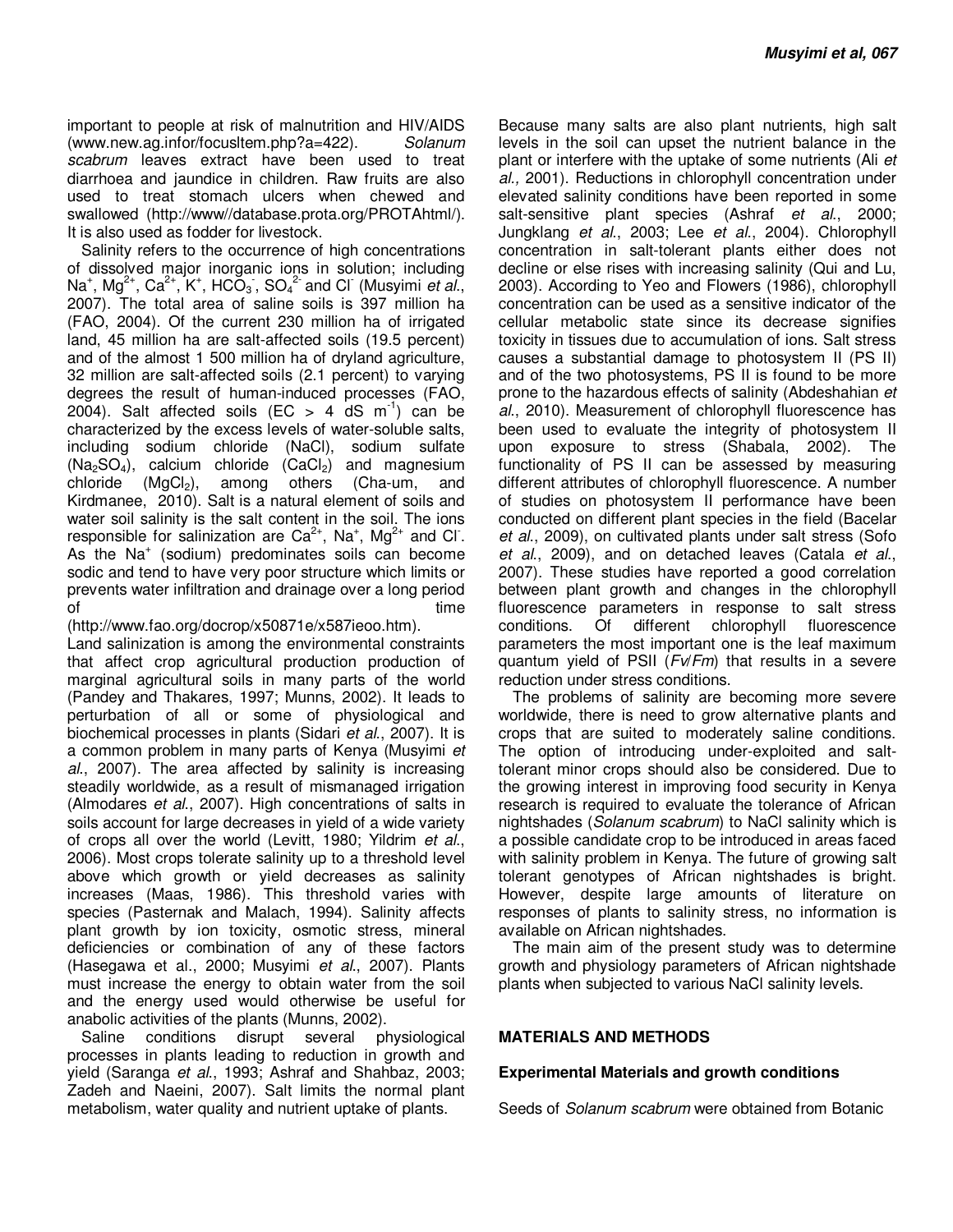important to people at risk of malnutrition and HIV/AIDS (www.new.ag.infor/focusltem.php?a=422). Solanum scabrum leaves extract have been used to treat diarrhoea and jaundice in children. Raw fruits are also used to treat stomach ulcers when chewed and swallowed (http://www//database.prota.org/PROTAhtml/). It is also used as fodder for livestock.

Salinity refers to the occurrence of high concentrations of dissolved major inorganic ions in solution; including Na<sup>+</sup>, Mg<sup>2+</sup>, Ca<sup>2+</sup>, K<sup>+</sup>, HCO<sub>3</sub>, SO<sub>4</sub><sup>2</sup> and Cl (Musyimi *et al.*, 2007). The total area of saline soils is 397 million ha (FAO, 2004). Of the current 230 million ha of irrigated land, 45 million ha are salt-affected soils (19.5 percent) and of the almost 1 500 million ha of dryland agriculture, 32 million are salt-affected soils (2.1 percent) to varying degrees the result of human-induced processes (FAO, 2004). Salt affected soils (EC  $>$  4 dS m<sup>-1</sup>) can be characterized by the excess levels of water-soluble salts, including sodium chloride (NaCl), sodium sulfate  $(Na<sub>2</sub>SO<sub>4</sub>)$ , calcium chloride  $(CaCl<sub>2</sub>)$  and magnesium chloride  $(MgCl<sub>2</sub>)$ , among others (Cha-um, and Kirdmanee, 2010). Salt is a natural element of soils and water soil salinity is the salt content in the soil. The ions responsible for salinization are  $Ca^{2+}$ , Na<sup>+</sup>, Mg<sup>2+</sup> and Cl. As the Na<sup>+</sup> (sodium) predominates soils can become sodic and tend to have very poor structure which limits or prevents water infiltration and drainage over a long period of time that the contract of the contract of time  $\sim$ 

(http://www.fao.org/docrop/x50871e/x587ieoo.htm). Land salinization is among the environmental constraints that affect crop agricultural production production of marginal agricultural soils in many parts of the world (Pandey and Thakares, 1997; Munns, 2002). It leads to perturbation of all or some of physiological and biochemical processes in plants (Sidari et al., 2007). It is a common problem in many parts of Kenya (Musyimi et al., 2007). The area affected by salinity is increasing steadily worldwide, as a result of mismanaged irrigation (Almodares et al., 2007). High concentrations of salts in soils account for large decreases in yield of a wide variety of crops all over the world (Levitt, 1980; Yildrim et al., 2006). Most crops tolerate salinity up to a threshold level above which growth or yield decreases as salinity increases (Maas, 1986). This threshold varies with species (Pasternak and Malach, 1994). Salinity affects plant growth by ion toxicity, osmotic stress, mineral deficiencies or combination of any of these factors (Hasegawa et al., 2000; Musyimi et al., 2007). Plants must increase the energy to obtain water from the soil and the energy used would otherwise be useful for anabolic activities of the plants (Munns, 2002).

Saline conditions disrupt several physiological processes in plants leading to reduction in growth and yield (Saranga et al., 1993; Ashraf and Shahbaz, 2003; Zadeh and Naeini, 2007). Salt limits the normal plant metabolism, water quality and nutrient uptake of plants.

Because many salts are also plant nutrients, high salt levels in the soil can upset the nutrient balance in the plant or interfere with the uptake of some nutrients (Ali et al., 2001). Reductions in chlorophyll concentration under elevated salinity conditions have been reported in some salt-sensitive plant species (Ashraf et al., 2000; Jungklang et al., 2003; Lee et al., 2004). Chlorophyll concentration in salt-tolerant plants either does not decline or else rises with increasing salinity (Qui and Lu, 2003). According to Yeo and Flowers (1986), chlorophyll concentration can be used as a sensitive indicator of the cellular metabolic state since its decrease signifies toxicity in tissues due to accumulation of ions. Salt stress causes a substantial damage to photosystem II (PS II) and of the two photosystems, PS II is found to be more prone to the hazardous effects of salinity (Abdeshahian et al., 2010). Measurement of chlorophyll fluorescence has been used to evaluate the integrity of photosystem II upon exposure to stress (Shabala, 2002). The functionality of PS II can be assessed by measuring different attributes of chlorophyll fluorescence. A number of studies on photosystem II performance have been conducted on different plant species in the field (Bacelar et al., 2009), on cultivated plants under salt stress (Sofo et al., 2009), and on detached leaves (Catala et al., 2007). These studies have reported a good correlation between plant growth and changes in the chlorophyll fluorescence parameters in response to salt stress conditions. Of different chlorophyll fluorescence parameters the most important one is the leaf maximum quantum yield of PSII  $(Fv/Fm)$  that results in a severe reduction under stress conditions.

The problems of salinity are becoming more severe worldwide, there is need to grow alternative plants and crops that are suited to moderately saline conditions. The option of introducing under-exploited and salttolerant minor crops should also be considered. Due to the growing interest in improving food security in Kenya research is required to evaluate the tolerance of African nightshades (Solanum scabrum) to NaCl salinity which is a possible candidate crop to be introduced in areas faced with salinity problem in Kenya. The future of growing salt tolerant genotypes of African nightshades is bright. However, despite large amounts of literature on responses of plants to salinity stress, no information is available on African nightshades.

The main aim of the present study was to determine growth and physiology parameters of African nightshade plants when subjected to various NaCl salinity levels.

#### **MATERIALS AND METHODS**

#### **Experimental Materials and growth conditions**

Seeds of *Solanum scabrum* were obtained from Botanic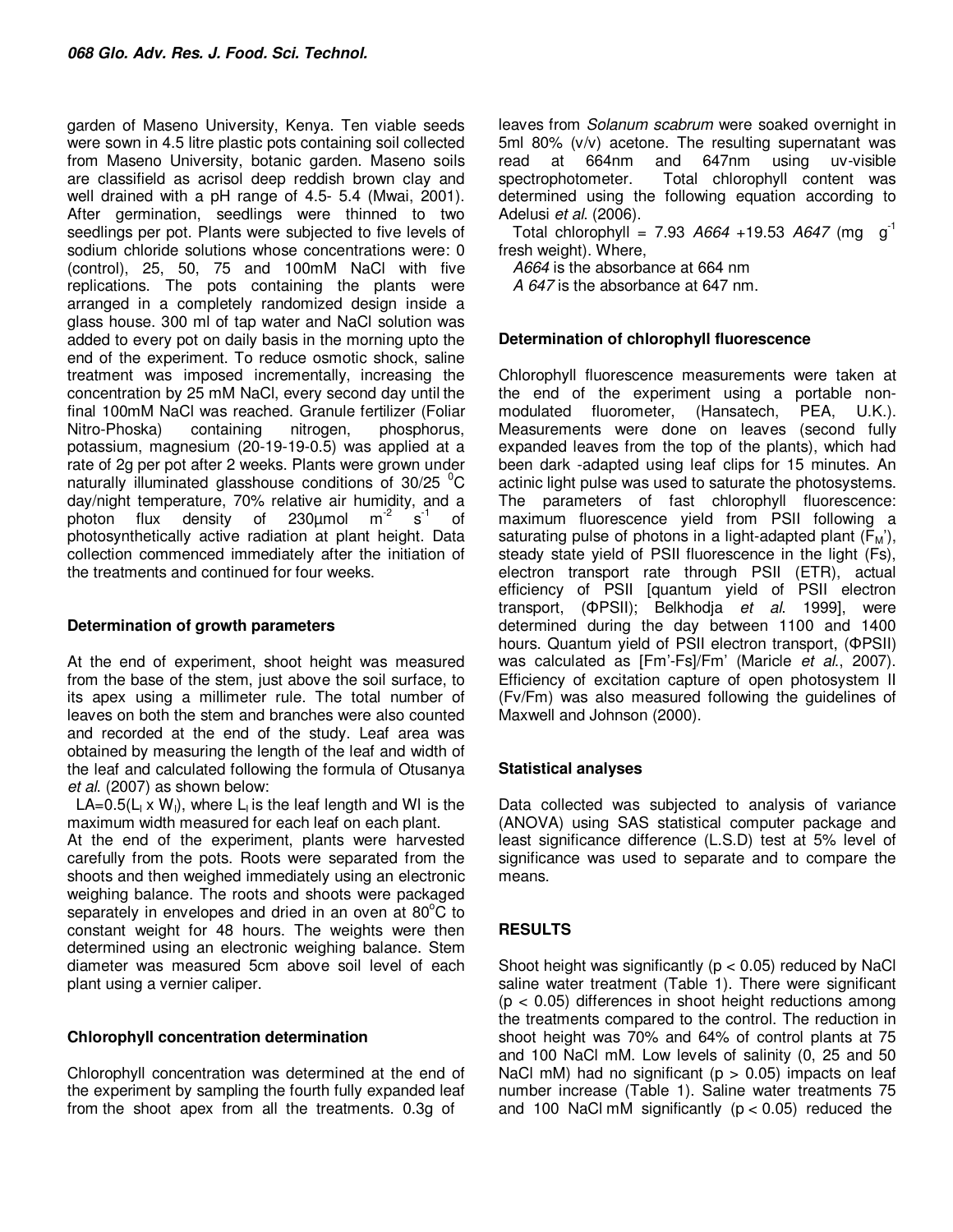garden of Maseno University, Kenya. Ten viable seeds were sown in 4.5 litre plastic pots containing soil collected from Maseno University, botanic garden. Maseno soils are classifield as acrisol deep reddish brown clay and well drained with a pH range of 4.5- 5.4 (Mwai, 2001). After germination, seedlings were thinned to two seedlings per pot. Plants were subjected to five levels of sodium chloride solutions whose concentrations were: 0 (control), 25, 50, 75 and 100mM NaCl with five replications. The pots containing the plants were arranged in a completely randomized design inside a glass house. 300 ml of tap water and NaCl solution was added to every pot on daily basis in the morning upto the end of the experiment. To reduce osmotic shock, saline treatment was imposed incrementally, increasing the concentration by 25 mM NaCl, every second day until the final 100mM NaCl was reached. Granule fertilizer (Foliar phosphorus, potassium, magnesium (20-19-19-0.5) was applied at a rate of 2g per pot after 2 weeks. Plants were grown under naturally illuminated glasshouse conditions of  $30/25$  °C day/night temperature, 70% relative air humidity, and a photon flux density of 230 $\mu$ mol m<sup>-2</sup> s<sup>-1</sup> of photosynthetically active radiation at plant height. Data collection commenced immediately after the initiation of the treatments and continued for four weeks.

## **Determination of growth parameters**

At the end of experiment, shoot height was measured from the base of the stem, just above the soil surface, to its apex using a millimeter rule. The total number of leaves on both the stem and branches were also counted and recorded at the end of the study. Leaf area was obtained by measuring the length of the leaf and width of the leaf and calculated following the formula of Otusanya et al. (2007) as shown below:

LA=0.5( $L_1 \times W_1$ ), where  $L_1$  is the leaf length and WI is the maximum width measured for each leaf on each plant.

At the end of the experiment, plants were harvested carefully from the pots. Roots were separated from the shoots and then weighed immediately using an electronic weighing balance. The roots and shoots were packaged separately in envelopes and dried in an oven at  $80^{\circ}$ C to constant weight for 48 hours. The weights were then determined using an electronic weighing balance. Stem diameter was measured 5cm above soil level of each plant using a vernier caliper.

## **Chlorophyll concentration determination**

Chlorophyll concentration was determined at the end of the experiment by sampling the fourth fully expanded leaf from the shoot apex from all the treatments. 0.3g of

leaves from Solanum scabrum were soaked overnight in 5ml 80% (v/v) acetone. The resulting supernatant was read at 664nm and 647nm using uv-visible spectrophotometer. Total chlorophyll content was determined using the following equation according to Adelusi et al. (2006).

Total chlorophyll = 7.93  $A664 + 19.53$   $A647$  (mg g<sup>-1</sup> fresh weight). Where,

A664 is the absorbance at 664 nm

A 647 is the absorbance at 647 nm.

## **Determination of chlorophyll fluorescence**

Chlorophyll fluorescence measurements were taken at the end of the experiment using a portable nonmodulated fluorometer, (Hansatech, PEA, U.K.). Measurements were done on leaves (second fully expanded leaves from the top of the plants), which had been dark -adapted using leaf clips for 15 minutes. An actinic light pulse was used to saturate the photosystems. The parameters of fast chlorophyll fluorescence: maximum fluorescence yield from PSII following a saturating pulse of photons in a light-adapted plant  $(F_M')$ , steady state yield of PSII fluorescence in the light (Fs), electron transport rate through PSII (ETR), actual efficiency of PSII [quantum yield of PSII electron transport, (ΦPSII); Belkhodja et al. 1999], were determined during the day between 1100 and 1400 hours. Quantum yield of PSII electron transport, (ΦPSII) was calculated as [Fm'-Fs]/Fm' (Maricle et al., 2007). Efficiency of excitation capture of open photosystem II (Fv/Fm) was also measured following the guidelines of Maxwell and Johnson (2000).

## **Statistical analyses**

Data collected was subjected to analysis of variance (ANOVA) using SAS statistical computer package and least significance difference (L.S.D) test at 5% level of significance was used to separate and to compare the means.

## **RESULTS**

Shoot height was significantly ( $p < 0.05$ ) reduced by NaCl saline water treatment (Table 1). There were significant  $(p < 0.05)$  differences in shoot height reductions among the treatments compared to the control. The reduction in shoot height was 70% and 64% of control plants at 75 and 100 NaCl mM. Low levels of salinity (0, 25 and 50 NaCl mM) had no significant ( $p > 0.05$ ) impacts on leaf number increase (Table 1). Saline water treatments 75 and 100 NaCl mM significantly  $(p < 0.05)$  reduced the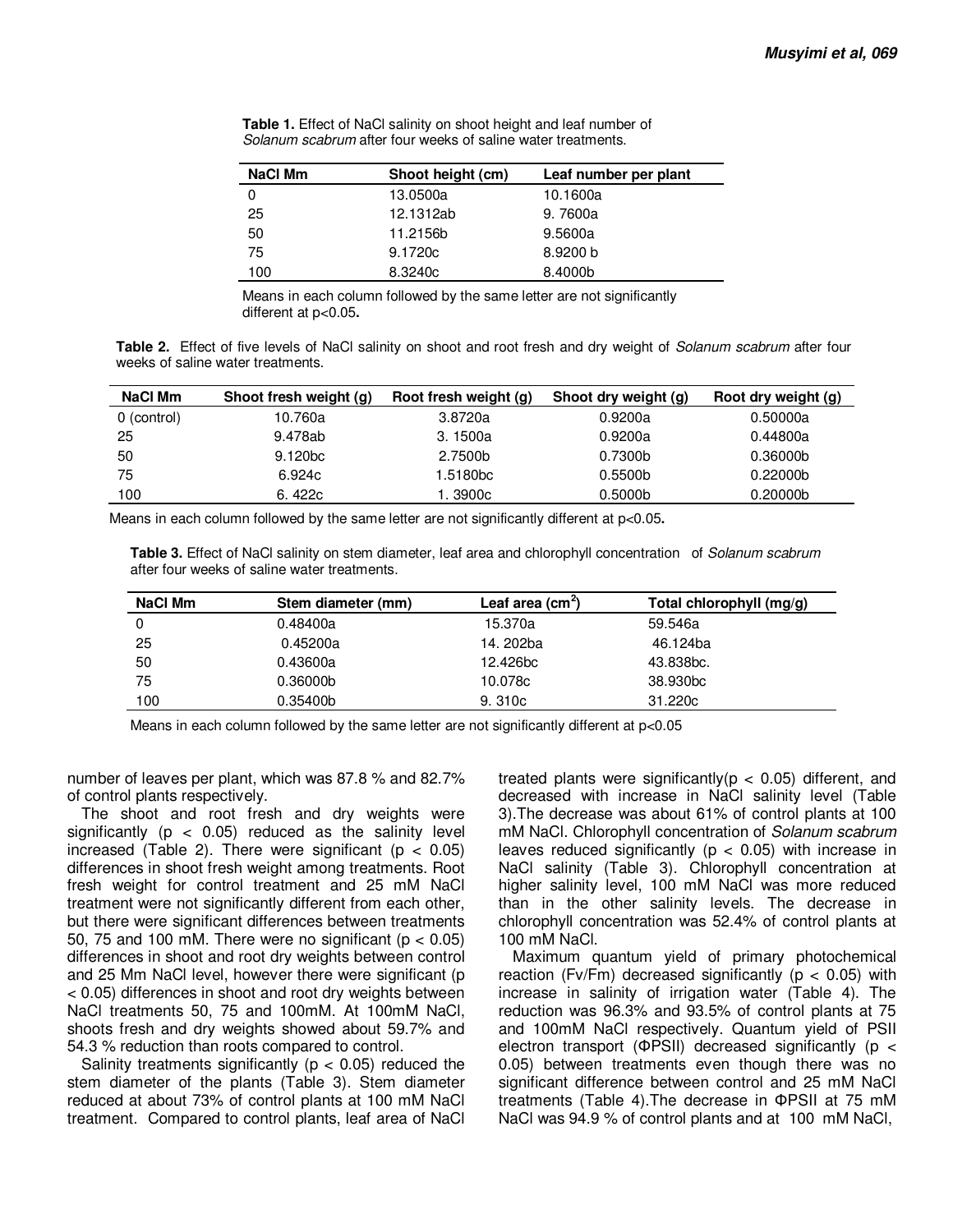| NaCl Mm | Shoot height (cm) | Leaf number per plant |
|---------|-------------------|-----------------------|
| 0       | 13.0500a          | 10.1600a              |
| 25      | 12.1312ab         | 9.7600a               |
| 50      | 11.2156b          | 9.5600a               |
| 75      | 9.1720c           | 8.9200 b              |
| 100     | 8.3240c           | 8.4000b               |

**Table 1.** Effect of NaCl salinity on shoot height and leaf number of Solanum scabrum after four weeks of saline water treatments.

Means in each column followed by the same letter are not significantly different at p<0.05**.** 

**Table 2.** Effect of five levels of NaCl salinity on shoot and root fresh and dry weight of Solanum scabrum after four weeks of saline water treatments.

| NaCl Mm     | Shoot fresh weight (g) | Root fresh weight (g) | Shoot dry weight (g) | Root dry weight (g)  |
|-------------|------------------------|-----------------------|----------------------|----------------------|
| 0 (control) | 10.760a                | 3.8720a               | 0.9200a              | 0.50000a             |
| 25          | 9.478ab                | 3.1500a               | 0.9200a              | 0.44800a             |
| 50          | 9.120 <sub>bc</sub>    | 2.7500b               | 0.7300b              | 0.36000b             |
| 75          | 6.924c                 | 1.5180bc              | 0.5500 <sub>b</sub>  | 0.22000 <sub>b</sub> |
| 100         | 6.422c                 | i. 3900c              | 0.5000 <sub>b</sub>  | 0.20000 <sub>b</sub> |

Means in each column followed by the same letter are not significantly different at p<0.05**.** 

**Table 3.** Effect of NaCl salinity on stem diameter, leaf area and chlorophyll concentration of Solanum scabrum after four weeks of saline water treatments.

| NaCl Mm | Stem diameter (mm) | Leaf area $(cm2)$ | Total chlorophyll (mg/g) |
|---------|--------------------|-------------------|--------------------------|
|         | 0.48400a           | 15.370a           | 59.546a                  |
| 25      | 0.45200a           | 14. 202ba         | 46.124ba                 |
| 50      | 0.43600a           | 12.426bc          | 43.838bc.                |
| 75      | 0.36000b           | 10.078c           | 38.930 <sub>bc</sub>     |
| 100     | 0.35400b           | 9.310c            | 31,220c                  |

Means in each column followed by the same letter are not significantly different at p<0.05

number of leaves per plant, which was 87.8 % and 82.7% of control plants respectively.

The shoot and root fresh and dry weights were significantly ( $p < 0.05$ ) reduced as the salinity level increased (Table 2). There were significant ( $p < 0.05$ ) differences in shoot fresh weight among treatments. Root fresh weight for control treatment and 25 mM NaCl treatment were not significantly different from each other, but there were significant differences between treatments 50, 75 and 100 mM. There were no significant ( $p < 0.05$ ) differences in shoot and root dry weights between control and 25 Mm NaCl level, however there were significant (p < 0.05) differences in shoot and root dry weights between NaCl treatments 50, 75 and 100mM. At 100mM NaCl, shoots fresh and dry weights showed about 59.7% and 54.3 % reduction than roots compared to control.

Salinity treatments significantly ( $p < 0.05$ ) reduced the stem diameter of the plants (Table 3). Stem diameter reduced at about 73% of control plants at 100 mM NaCl treatment. Compared to control plants, leaf area of NaCl treated plants were significantly  $(p < 0.05)$  different, and decreased with increase in NaCl salinity level (Table 3).The decrease was about 61% of control plants at 100 mM NaCl. Chlorophyll concentration of Solanum scabrum leaves reduced significantly ( $p < 0.05$ ) with increase in NaCl salinity (Table 3). Chlorophyll concentration at higher salinity level, 100 mM NaCl was more reduced than in the other salinity levels. The decrease in chlorophyll concentration was 52.4% of control plants at 100 mM NaCl.

Maximum quantum yield of primary photochemical reaction (Fv/Fm) decreased significantly ( $p < 0.05$ ) with increase in salinity of irrigation water (Table 4). The reduction was 96.3% and 93.5% of control plants at 75 and 100mM NaCl respectively. Quantum yield of PSII electron transport (ΦPSII) decreased significantly (p < 0.05) between treatments even though there was no significant difference between control and 25 mM NaCl treatments (Table 4).The decrease in ΦPSII at 75 mM NaCl was 94.9 % of control plants and at 100 mM NaCl,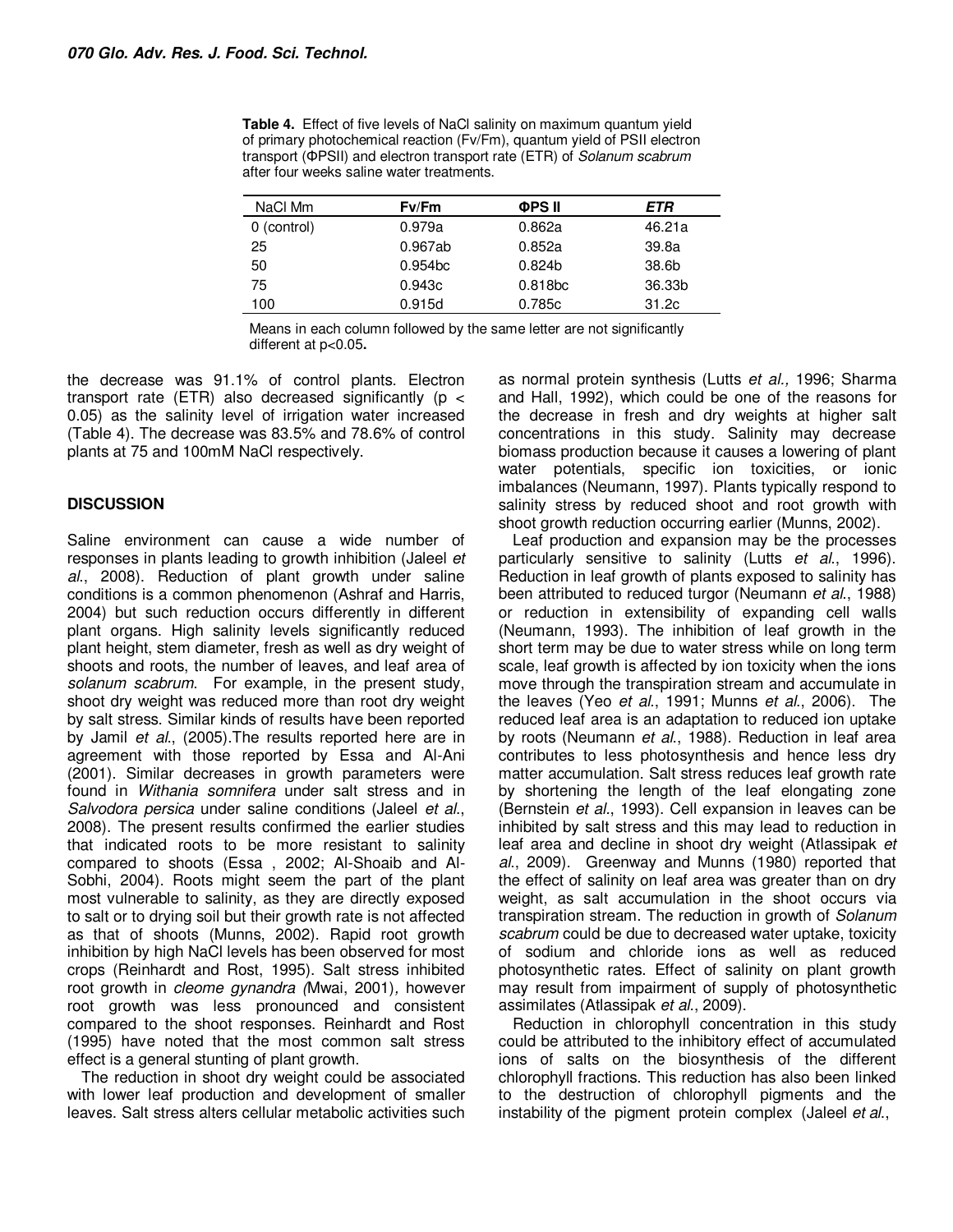| NaCl Mm     | Fv/Fm               | <b>OPS II</b>       | ETR    |
|-------------|---------------------|---------------------|--------|
| 0 (control) | 0.979a              | 0.862a              | 46.21a |
| 25          | 0.967ab             | 0.852a              | 39.8a  |
| 50          | 0.954 <sub>bc</sub> | 0.824 <sub>b</sub>  | 38.6b  |
| 75          | 0.943c              | 0.818 <sub>bc</sub> | 36.33b |
| 100         | 0.915d              | 0.785c              | 31.2c  |

Means in each column followed by the same letter are not significantly different at p<0.05**.** 

the decrease was 91.1% of control plants. Electron transport rate (ETR) also decreased significantly ( $p <$ 0.05) as the salinity level of irrigation water increased (Table 4). The decrease was 83.5% and 78.6% of control plants at 75 and 100mM NaCl respectively.

## **DISCUSSION**

Saline environment can cause a wide number of responses in plants leading to growth inhibition (Jaleel et al., 2008). Reduction of plant growth under saline conditions is a common phenomenon (Ashraf and Harris, 2004) but such reduction occurs differently in different plant organs. High salinity levels significantly reduced plant height, stem diameter, fresh as well as dry weight of shoots and roots, the number of leaves, and leaf area of solanum scabrum. For example, in the present study, shoot dry weight was reduced more than root dry weight by salt stress. Similar kinds of results have been reported by Jamil et al., (2005). The results reported here are in agreement with those reported by Essa and Al-Ani (2001). Similar decreases in growth parameters were found in *Withania somnifera* under salt stress and in Salvodora persica under saline conditions (Jaleel et al., 2008). The present results confirmed the earlier studies that indicated roots to be more resistant to salinity compared to shoots (Essa , 2002; Al-Shoaib and Al-Sobhi, 2004). Roots might seem the part of the plant most vulnerable to salinity, as they are directly exposed to salt or to drying soil but their growth rate is not affected as that of shoots (Munns, 2002). Rapid root growth inhibition by high NaCl levels has been observed for most crops (Reinhardt and Rost, 1995). Salt stress inhibited root growth in cleome gynandra (Mwai, 2001), however root growth was less pronounced and consistent compared to the shoot responses. Reinhardt and Rost (1995) have noted that the most common salt stress effect is a general stunting of plant growth.

The reduction in shoot dry weight could be associated with lower leaf production and development of smaller leaves. Salt stress alters cellular metabolic activities such as normal protein synthesis (Lutts et al., 1996; Sharma and Hall, 1992), which could be one of the reasons for the decrease in fresh and dry weights at higher salt concentrations in this study. Salinity may decrease biomass production because it causes a lowering of plant water potentials, specific ion toxicities, or ionic imbalances (Neumann, 1997). Plants typically respond to salinity stress by reduced shoot and root growth with shoot growth reduction occurring earlier (Munns, 2002).

Leaf production and expansion may be the processes particularly sensitive to salinity (Lutts et al., 1996). Reduction in leaf growth of plants exposed to salinity has been attributed to reduced turgor (Neumann et al., 1988) or reduction in extensibility of expanding cell walls (Neumann, 1993). The inhibition of leaf growth in the short term may be due to water stress while on long term scale, leaf growth is affected by ion toxicity when the ions move through the transpiration stream and accumulate in the leaves (Yeo et al., 1991; Munns et al., 2006). The reduced leaf area is an adaptation to reduced ion uptake by roots (Neumann et al., 1988). Reduction in leaf area contributes to less photosynthesis and hence less dry matter accumulation. Salt stress reduces leaf growth rate by shortening the length of the leaf elongating zone (Bernstein et al., 1993). Cell expansion in leaves can be inhibited by salt stress and this may lead to reduction in leaf area and decline in shoot dry weight (Atlassipak et al., 2009). Greenway and Munns (1980) reported that the effect of salinity on leaf area was greater than on dry weight, as salt accumulation in the shoot occurs via transpiration stream. The reduction in growth of Solanum scabrum could be due to decreased water uptake, toxicity of sodium and chloride ions as well as reduced photosynthetic rates. Effect of salinity on plant growth may result from impairment of supply of photosynthetic assimilates (Atlassipak et al., 2009).

Reduction in chlorophyll concentration in this study could be attributed to the inhibitory effect of accumulated ions of salts on the biosynthesis of the different chlorophyll fractions. This reduction has also been linked to the destruction of chlorophyll pigments and the instability of the pigment protein complex (Jaleel et al.,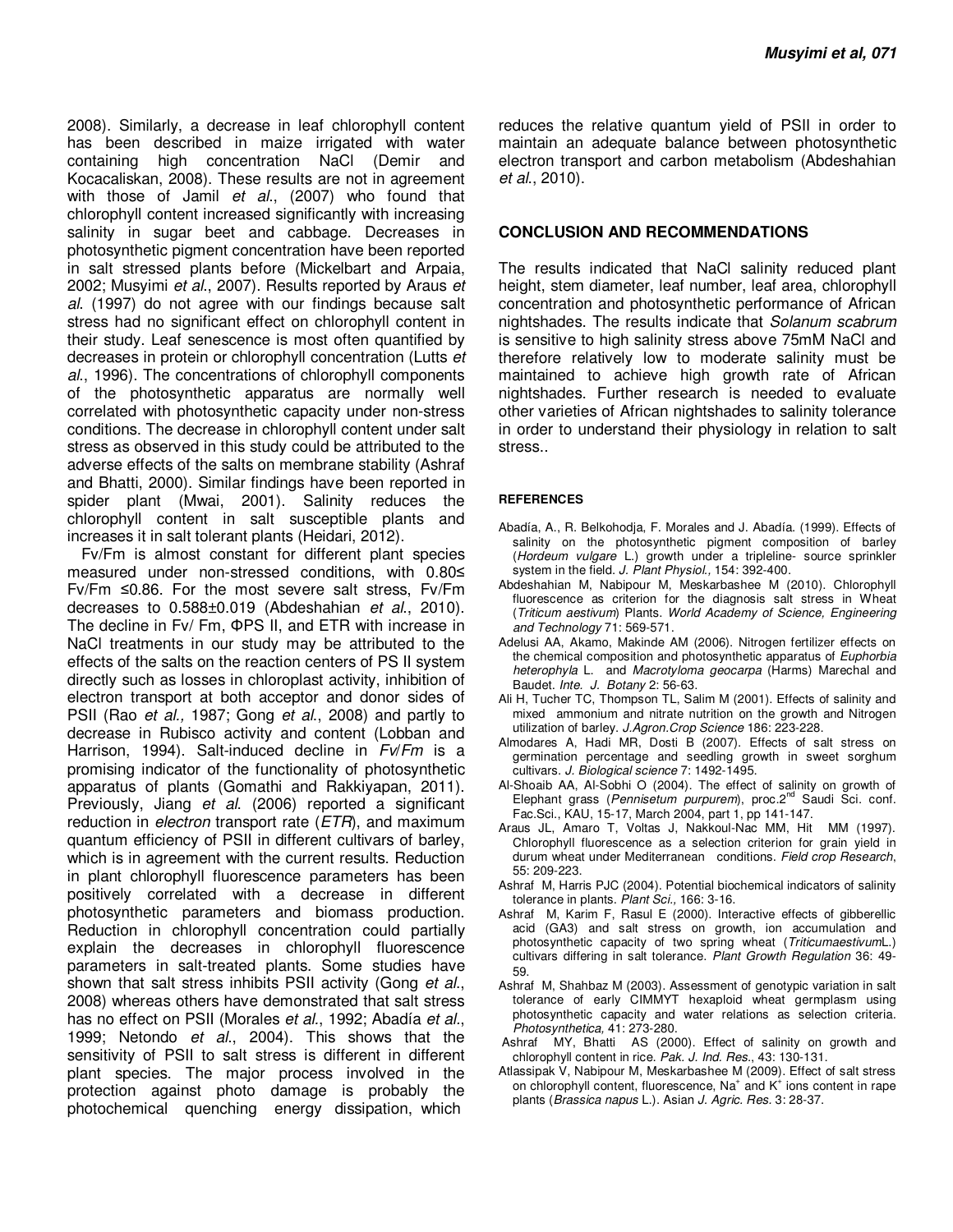2008). Similarly, a decrease in leaf chlorophyll content has been described in maize irrigated with water containing high concentration NaCl (Demir and Kocacaliskan, 2008). These results are not in agreement with those of Jamil et al., (2007) who found that chlorophyll content increased significantly with increasing salinity in sugar beet and cabbage. Decreases in photosynthetic pigment concentration have been reported in salt stressed plants before (Mickelbart and Arpaia, 2002; Musyimi et al., 2007). Results reported by Araus et al. (1997) do not agree with our findings because salt stress had no significant effect on chlorophyll content in their study. Leaf senescence is most often quantified by decreases in protein or chlorophyll concentration (Lutts et al., 1996). The concentrations of chlorophyll components of the photosynthetic apparatus are normally well correlated with photosynthetic capacity under non-stress conditions. The decrease in chlorophyll content under salt stress as observed in this study could be attributed to the adverse effects of the salts on membrane stability (Ashraf and Bhatti, 2000). Similar findings have been reported in spider plant (Mwai, 2001). Salinity reduces the chlorophyll content in salt susceptible plants and increases it in salt tolerant plants (Heidari, 2012).

Fv/Fm is almost constant for different plant species measured under non-stressed conditions, with 0.80≤ Fv/Fm ≤0.86. For the most severe salt stress, Fv/Fm decreases to 0.588±0.019 (Abdeshahian et al., 2010). The decline in Fv/ Fm, ΦPS II, and ETR with increase in NaCl treatments in our study may be attributed to the effects of the salts on the reaction centers of PS II system directly such as losses in chloroplast activity, inhibition of electron transport at both acceptor and donor sides of PSII (Rao *et al.,* 1987; Gong *et al.*, 2008) and partly to decrease in Rubisco activity and content (Lobban and Harrison, 1994). Salt-induced decline in Fv/Fm is a promising indicator of the functionality of photosynthetic apparatus of plants (Gomathi and Rakkiyapan, 2011). Previously, Jiang et al. (2006) reported a significant reduction in *electron* transport rate  $(ETR)$ , and maximum quantum efficiency of PSII in different cultivars of barley, which is in agreement with the current results. Reduction in plant chlorophyll fluorescence parameters has been positively correlated with a decrease in different photosynthetic parameters and biomass production. Reduction in chlorophyll concentration could partially explain the decreases in chlorophyll fluorescence parameters in salt-treated plants. Some studies have shown that salt stress inhibits PSII activity (Gong et al., 2008) whereas others have demonstrated that salt stress has no effect on PSII (Morales et al., 1992; Abadía et al., 1999; Netondo et al., 2004). This shows that the sensitivity of PSII to salt stress is different in different plant species. The major process involved in the protection against photo damage is probably the photochemical quenching energy dissipation, which

reduces the relative quantum yield of PSII in order to maintain an adequate balance between photosynthetic electron transport and carbon metabolism (Abdeshahian et al., 2010).

#### **CONCLUSION AND RECOMMENDATIONS**

The results indicated that NaCl salinity reduced plant height, stem diameter, leaf number, leaf area, chlorophyll concentration and photosynthetic performance of African nightshades. The results indicate that Solanum scabrum is sensitive to high salinity stress above 75mM NaCl and therefore relatively low to moderate salinity must be maintained to achieve high growth rate of African nightshades. Further research is needed to evaluate other varieties of African nightshades to salinity tolerance in order to understand their physiology in relation to salt stress..

#### **REFERENCES**

- Abadía, A., R. Belkohodja, F. Morales and J. Abadía. (1999). Effects of salinity on the photosynthetic pigment composition of barley (Hordeum vulgare L.) growth under a tripleline- source sprinkler system in the field. J. Plant Physiol., 154: 392-400.
- Abdeshahian M, Nabipour M, Meskarbashee M (2010). Chlorophyll fluorescence as criterion for the diagnosis salt stress in Wheat (Triticum aestivum) Plants. World Academy of Science, Engineering and Technology 71: 569-571.
- Adelusi AA, Akamo, Makinde AM (2006). Nitrogen fertilizer effects on the chemical composition and photosynthetic apparatus of Euphorbia heterophyla L. and Macrotyloma geocarpa (Harms) Marechal and Baudet. Inte. J. Botany 2: 56-63.
- Ali H, Tucher TC, Thompson TL, Salim M (2001). Effects of salinity and mixed ammonium and nitrate nutrition on the growth and Nitrogen utilization of barley. J.Agron.Crop Science 186: 223-228.
- Almodares A, Hadi MR, Dosti B (2007). Effects of salt stress on germination percentage and seedling growth in sweet sorghum cultivars. J. Biological science 7: 1492-1495.
- Al-Shoaib AA, Al-Sobhi O (2004). The effect of salinity on growth of Elephant grass (Pennisetum purpurem), proc.2<sup>nd</sup> Saudi Sci. conf. Fac.Sci., KAU, 15-17, March 2004, part 1, pp 141-147.
- Araus JL, Amaro T, Voltas J, Nakkoul-Nac MM, Hit MM (1997). Chlorophyll fluorescence as a selection criterion for grain yield in durum wheat under Mediterranean conditions. Field crop Research, 55: 209-223.
- Ashraf M, Harris PJC (2004). Potential biochemical indicators of salinity tolerance in plants. Plant Sci., 166: 3-16.
- Ashraf M, Karim F, Rasul E (2000). Interactive effects of gibberellic acid (GA3) and salt stress on growth, ion accumulation and photosynthetic capacity of two spring wheat (TriticumaestivumL.) cultivars differing in salt tolerance. Plant Growth Regulation 36: 49- 59.
- Ashraf M, Shahbaz M (2003). Assessment of genotypic variation in salt tolerance of early CIMMYT hexaploid wheat germplasm using photosynthetic capacity and water relations as selection criteria. Photosynthetica, 41: 273-280.
- Ashraf MY, Bhatti AS (2000). Effect of salinity on growth and chlorophyll content in rice. Pak. J. Ind. Res., 43: 130-131.
- Atlassipak V, Nabipour M, Meskarbashee M (2009). Effect of salt stress on chlorophyll content, fluorescence, Na<sup>+</sup> and  $K^+$  ions content in rape plants (Brassica napus L.). Asian J. Agric. Res. 3: 28-37.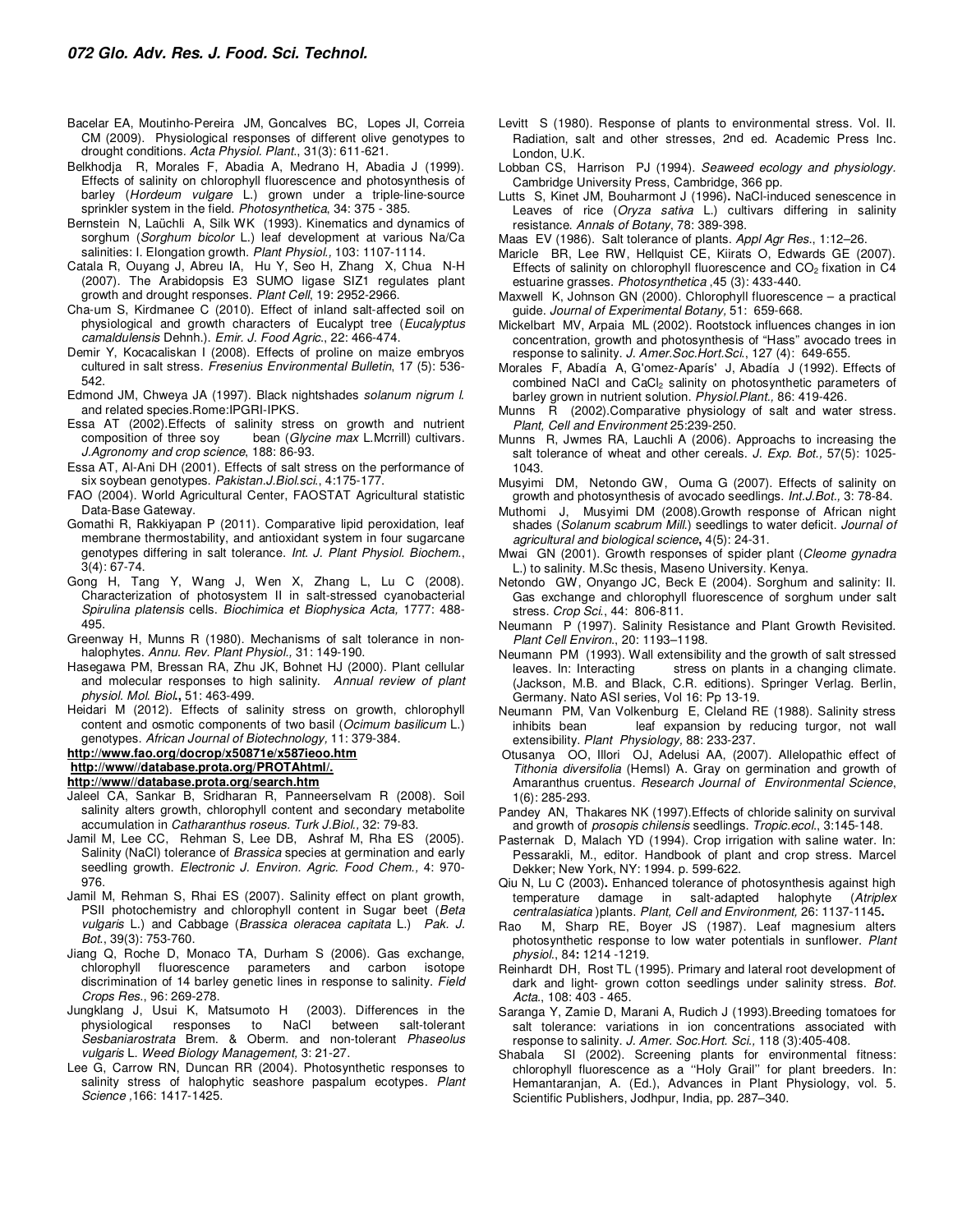- Bacelar EA, Moutinho-Pereira JM, Goncalves BC, Lopes JI, Correia CM (2009). Physiological responses of different olive genotypes to drought conditions. Acta Physiol. Plant., 31(3): 611-621.
- Belkhodja R, Morales F, Abadia A, Medrano H, Abadia J (1999). Effects of salinity on chlorophyll fluorescence and photosynthesis of barley (Hordeum vulgare L.) grown under a triple-line-source sprinkler system in the field. Photosynthetica, 34: 375 - 385.
- Bernstein N, Laüchli A, Silk WK (1993). Kinematics and dynamics of sorghum (Sorghum bicolor L.) leaf development at various Na/Ca salinities: I. Elongation growth. Plant Physiol., 103: 1107-1114.
- Catala R, Ouyang J, Abreu IA, Hu Y, Seo H, Zhang X, Chua N-H (2007). The Arabidopsis E3 SUMO ligase SIZ1 regulates plant growth and drought responses. Plant Cell, 19: 2952-2966.
- Cha-um S, Kirdmanee C (2010). Effect of inland salt-affected soil on physiological and growth characters of Eucalypt tree (Eucalyptus camaldulensis Dehnh.). Emir. J. Food Agric., 22: 466-474.
- Demir Y, Kocacaliskan I (2008). Effects of proline on maize embryos cultured in salt stress. Fresenius Environmental Bulletin, 17 (5): 536- 542.
- Edmond JM, Chweya JA (1997). Black nightshades solanum nigrum l. and related species.Rome:IPGRI-IPKS.
- Essa AT (2002).Effects of salinity stress on growth and nutrient composition of three soy bean (Glycine max L.Mcrrill) cultivars. J.Agronomy and crop science, 188: 86-93.
- Essa AT, Al-Ani DH (2001). Effects of salt stress on the performance of six soybean genotypes. Pakistan.J.Biol.sci., 4:175-177.
- FAO (2004). World Agricultural Center, FAOSTAT Agricultural statistic Data-Base Gateway.
- Gomathi R, Rakkiyapan P (2011). Comparative lipid peroxidation, leaf membrane thermostability, and antioxidant system in four sugarcane genotypes differing in salt tolerance. Int. J. Plant Physiol. Biochem., 3(4): 67-74.
- Gong H, Tang Y, Wang J, Wen X, Zhang L, Lu C (2008). Characterization of photosystem II in salt-stressed cyanobacterial Spirulina platensis cells. Biochimica et Biophysica Acta, 1777: 488- 495.
- Greenway H, Munns R (1980). Mechanisms of salt tolerance in nonhalophytes. Annu. Rev. Plant Physiol., 31: 149-190.
- Hasegawa PM, Bressan RA, Zhu JK, Bohnet HJ (2000). Plant cellular and molecular responses to high salinity. Annual review of plant physiol. Mol. Biol**.,** 51: 463-499.
- Heidari M (2012). Effects of salinity stress on growth, chlorophyll content and osmotic components of two basil (Ocimum basilicum L.) genotypes. African Journal of Biotechnology, 11: 379-384.

#### **http://www.fao.org/docrop/x50871e/x587ieoo.htm**

**http://www//database.prota.org/PROTAhtml/.**

**http://www//database.prota.org/search.htm**

- Jaleel CA, Sankar B, Sridharan R, Panneerselvam R (2008). Soil salinity alters growth, chlorophyll content and secondary metabolite accumulation in Catharanthus roseus. Turk J.Biol., 32: 79-83.
- Jamil M, Lee CC, Rehman S, Lee DB, Ashraf M, Rha ES (2005). Salinity (NaCl) tolerance of Brassica species at germination and early seedling growth. Electronic J. Environ. Agric. Food Chem., 4: 970-976.
- Jamil M, Rehman S, Rhai ES (2007). Salinity effect on plant growth, PSII photochemistry and chlorophyll content in Sugar beet (Beta vulgaris L.) and Cabbage (Brassica oleracea capitata L.) Pak. J. Bot., 39(3): 753-760.
- Jiang Q, Roche D, Monaco TA, Durham S (2006). Gas exchange, chlorophyll fluorescence parameters and carbon isotope discrimination of 14 barley genetic lines in response to salinity. Field Crops Res., 96: 269-278.
- Jungklang J, Usui K, Matsumoto H (2003). Differences in the physiological responses to NaCl between salt-tolerant Sesbaniarostrata Brem. & Oberm. and non-tolerant Phaseolus vulgaris L. Weed Biology Management, 3: 21-27.
- Lee G, Carrow RN, Duncan RR (2004). Photosynthetic responses to salinity stress of halophytic seashore paspalum ecotypes. Plant Science ,166: 1417-1425.
- Levitt S (1980). Response of plants to environmental stress. Vol. II. Radiation, salt and other stresses, 2nd ed. Academic Press Inc. London, U.K.
- Lobban CS, Harrison PJ (1994). Seaweed ecology and physiology. Cambridge University Press, Cambridge, 366 pp.
- Lutts S, Kinet JM, Bouharmont J (1996)**.** NaCl-induced senescence in Leaves of rice (Oryza sativa L.) cultivars differing in salinity resistance. Annals of Botany, 78: 389-398.
- Maas EV (1986). Salt tolerance of plants. Appl Agr Res., 1:12–26.
- Maricle BR, Lee RW, Hellquist CE, Kiirats O, Edwards GE (2007). Effects of salinity on chlorophyll fluorescence and  $CO<sub>2</sub>$  fixation in C4 estuarine grasses. Photosynthetica, 45 (3): 433-440.
- Maxwell K, Johnson GN (2000). Chlorophyll fluorescence a practical guide. Journal of Experimental Botany, 51: 659-668.
- Mickelbart MV, Arpaia ML (2002). Rootstock influences changes in ion concentration, growth and photosynthesis of "Hass" avocado trees in response to salinity. J. Amer. Soc. Hort. Sci., 127 (4): 649-655.
- Morales F, Abadía A, G'omez-Aparís' J, Abadía J (1992). Effects of combined NaCl and CaCl<sub>2</sub> salinity on photosynthetic parameters of barley grown in nutrient solution. Physiol. Plant., 86: 419-426.
- Munns R (2002).Comparative physiology of salt and water stress. Plant, Cell and Environment 25:239-250.
- Munns R, Jwmes RA, Lauchli A (2006). Approachs to increasing the salt tolerance of wheat and other cereals. J. Exp. Bot., 57(5): 1025-1043.
- Musyimi DM, Netondo GW, Ouma G (2007). Effects of salinity on growth and photosynthesis of avocado seedlings. Int.J.Bot., 3: 78-84.
- Muthomi J, Musyimi DM (2008).Growth response of African night shades (Solanum scabrum Mill.) seedlings to water deficit. Journal of agricultural and biological science**,** 4(5): 24-31.
- Mwai GN (2001). Growth responses of spider plant (Cleome gynadra L.) to salinity. M.Sc thesis, Maseno University. Kenya.
- Netondo GW, Onyango JC, Beck E (2004). Sorghum and salinity: II. Gas exchange and chlorophyll fluorescence of sorghum under salt stress. Crop Sci., 44: 806-811.
- Neumann P (1997). Salinity Resistance and Plant Growth Revisited. Plant Cell Environ., 20: 1193–1198.
- Neumann PM (1993). Wall extensibility and the growth of salt stressed stress on plants in a changing climate. (Jackson, M.B. and Black, C.R. editions). Springer Verlag. Berlin, Germany. Nato ASI series, Vol 16: Pp 13-19.
- Neumann PM, Van Volkenburg E, Cleland RE (1988). Salinity stress inhibits bean leaf expansion by reducing turgor, not wall extensibility. Plant Physiology, 88: 233-237.
- Otusanya OO, Illori OJ, Adelusi AA, (2007). Allelopathic effect of Tithonia diversifolia (Hemsl) A. Gray on germination and growth of Amaranthus cruentus. Research Journal of Environmental Science, 1(6): 285-293.
- Pandey AN, Thakares NK (1997).Effects of chloride salinity on survival and growth of prosopis chilensis seedlings. Tropic.ecol., 3:145-148.
- Pasternak D, Malach YD (1994). Crop irrigation with saline water. In: Pessarakli, M., editor. Handbook of plant and crop stress. Marcel Dekker; New York, NY: 1994. p. 599-622.
- Qiu N, Lu C (2003)**.** Enhanced tolerance of photosynthesis against high temperature damage in salt-adapted halophyte (Atriplex centralasiatica )plants. Plant, Cell and Environment, 26: 1137-1145**.**
- Rao M, Sharp RE, Boyer JS (1987). Leaf magnesium alters photosynthetic response to low water potentials in sunflower. Plant physiol., 84**:** 1214 -1219.
- Reinhardt DH, Rost TL (1995). Primary and lateral root development of dark and light- grown cotton seedlings under salinity stress. Bot. Acta., 108: 403 - 465.
- Saranga Y, Zamie D, Marani A, Rudich J (1993).Breeding tomatoes for salt tolerance: variations in ion concentrations associated with response to salinity. J. Amer. Soc.Hort. Sci., 118 (3):405-408.
- Shabala SI (2002). Screening plants for environmental fitness: chlorophyll fluorescence as a ''Holy Grail'' for plant breeders. In: Hemantaranjan, A. (Ed.), Advances in Plant Physiology, vol. 5. Scientific Publishers, Jodhpur, India, pp. 287–340.